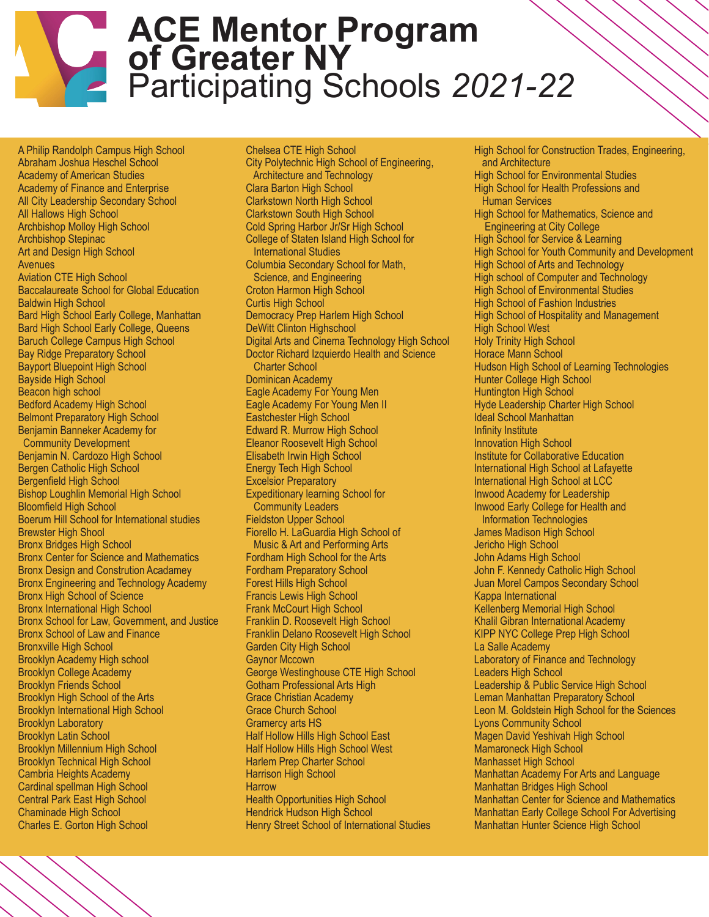## **ACE Mentor Program of Greater NY** Participating Schools *2021-22*

A Philip Randolph Campus High School Abraham Joshua Heschel School Academy of American Studies Academy of Finance and Enterprise All City Leadership Secondary School All Hallows High School Archbishop Molloy High School Archbishop Stepinac Art and Design High School Avenues Aviation CTE High School Baccalaureate School for Global Education Baldwin High School Bard High School Early College, Manhattan Bard High School Early College, Queens Baruch College Campus High School Bay Ridge Preparatory School Bayport Bluepoint High School Bayside High School Beacon high school Bedford Academy High School Belmont Preparatory High School Benjamin Banneker Academy for Community Development Benjamin N. Cardozo High School Bergen Catholic High School Bergenfield High School Bishop Loughlin Memorial High School Bloomfield High School Boerum Hill School for International studies Brewster High Shool Bronx Bridges High School Bronx Center for Science and Mathematics Bronx Design and Constrution Acadamey Bronx Engineering and Technology Academy Bronx High School of Science Bronx International High School Bronx School for Law, Government, and Justice Bronx School of Law and Finance Bronxville High School Brooklyn Academy High school Brooklyn College Academy Brooklyn Friends School Brooklyn High School of the Arts Brooklyn International High School Brooklyn Laboratory Brooklyn Latin School Brooklyn Millennium High School Brooklyn Technical High School Cambria Heights Academy Cardinal spellman High School Central Park East High School Chaminade High School Charles E. Gorton High School

Chelsea CTE High School City Polytechnic High School of Engineering, Architecture and Technology Clara Barton High School Clarkstown North High School Clarkstown South High School Cold Spring Harbor Jr/Sr High School College of Staten Island High School for International Studies Columbia Secondary School for Math, Science, and Engineering Croton Harmon High School Curtis High School Democracy Prep Harlem High School DeWitt Clinton Highschool Digital Arts and Cinema Technology High School Doctor Richard Izquierdo Health and Science Charter School Dominican Academy Eagle Academy For Young Men Eagle Academy For Young Men II Eastchester High School Edward R. Murrow High School Eleanor Roosevelt High School Elisabeth Irwin High School Energy Tech High School Excelsior Preparatory Expeditionary learning School for Community Leaders Fieldston Upper School Fiorello H. LaGuardia High School of Music & Art and Performing Arts Fordham High School for the Arts Fordham Preparatory School Forest Hills High School Francis Lewis High School Frank McCourt High School Franklin D. Roosevelt High School Franklin Delano Roosevelt High School Garden City High School Gaynor Mccown George Westinghouse CTE High School Gotham Professional Arts High Grace Christian Academy Grace Church School Gramercy arts HS Half Hollow Hills High School East Half Hollow Hills High School West Harlem Prep Charter School Harrison High School **Harrow** Health Opportunities High School Hendrick Hudson High School Henry Street School of International Studies

High School for Construction Trades, Engineering, and Architecture High School for Environmental Studies High School for Health Professions and Human Services High School for Mathematics, Science and Engineering at City College High School for Service & Learning High School for Youth Community and Development High School of Arts and Technology High school of Computer and Technology High School of Environmental Studies High School of Fashion Industries High School of Hospitality and Management High School West Holy Trinity High School Horace Mann School Hudson High School of Learning Technologies Hunter College High School Huntington High School Hyde Leadership Charter High School Ideal School Manhattan Infinity Institute Innovation High School Institute for Collaborative Education International High School at Lafayette International High School at LCC Inwood Academy for Leadership Inwood Early College for Health and Information Technologies James Madison High School Jericho High School John Adams High School John F. Kennedy Catholic High School Juan Morel Campos Secondary School Kappa International Kellenberg Memorial High School Khalil Gibran International Academy KIPP NYC College Prep High School La Salle Academy Laboratory of Finance and Technology Leaders High School Leadership & Public Service High School Leman Manhattan Preparatory School Leon M. Goldstein High School for the Sciences Lyons Community School Magen David Yeshivah High School Mamaroneck High School Manhasset High School Manhattan Academy For Arts and Language Manhattan Bridges High School Manhattan Center for Science and Mathematics Manhattan Early College School For Advertising Manhattan Hunter Science High School